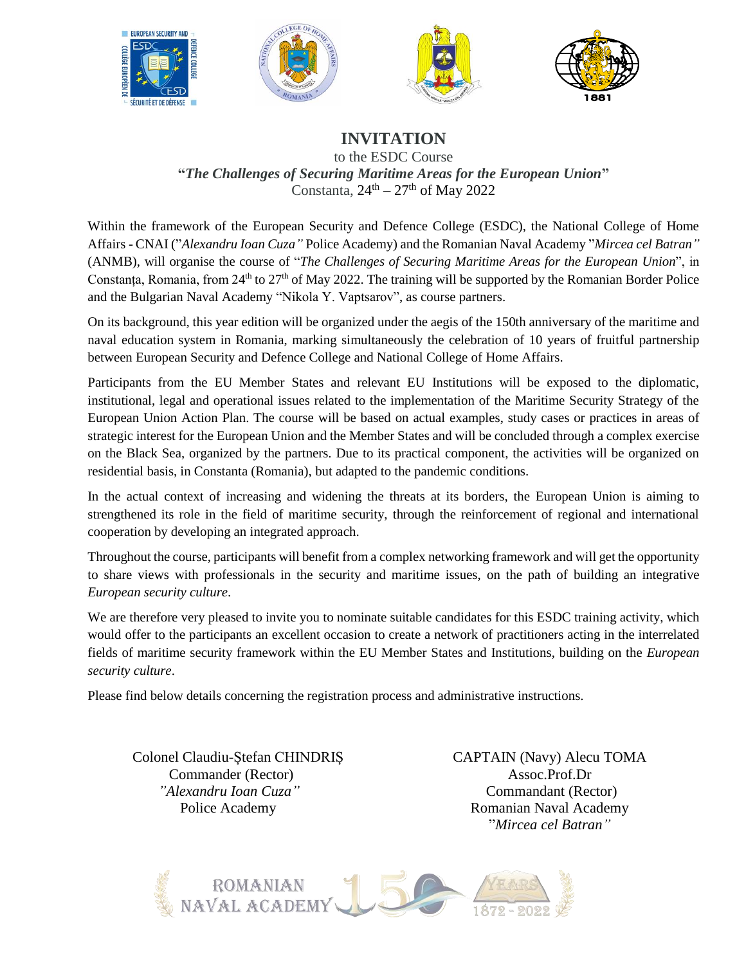







## **INVITATION**

to the ESDC Course **"***The Challenges of Securing Maritime Areas for the European Union***"** Constanta,  $24^{\text{th}} - 27^{\text{th}}$  of May 2022

Within the framework of the European Security and Defence College (ESDC), the National College of Home Affairs - CNAI ("*Alexandru Ioan Cuza"* Police Academy) and the Romanian Naval Academy "*Mircea cel Batran"* (ANMB), will organise the course of "*The Challenges of Securing Maritime Areas for the European Union*", in Constanța, Romania, from 24<sup>th</sup> to 27<sup>th</sup> of May 2022. The training will be supported by the Romanian Border Police and the Bulgarian Naval Academy "Nikola Y. Vaptsarov", as course partners.

On its background, this year edition will be organized under the aegis of the 150th anniversary of the maritime and naval education system in Romania, marking simultaneously the celebration of 10 years of fruitful partnership between European Security and Defence College and National College of Home Affairs.

Participants from the EU Member States and relevant EU Institutions will be exposed to the diplomatic, institutional, legal and operational issues related to the implementation of the Maritime Security Strategy of the European Union Action Plan. The course will be based on actual examples, study cases or practices in areas of strategic interest for the European Union and the Member States and will be concluded through a complex exercise on the Black Sea, organized by the partners. Due to its practical component, the activities will be organized on residential basis, in Constanta (Romania), but adapted to the pandemic conditions.

In the actual context of increasing and widening the threats at its borders, the European Union is aiming to strengthened its role in the field of maritime security, through the reinforcement of regional and international cooperation by developing an integrated approach.

Throughout the course, participants will benefit from a complex networking framework and will get the opportunity to share views with professionals in the security and maritime issues, on the path of building an integrative *European security culture*.

We are therefore very pleased to invite you to nominate suitable candidates for this ESDC training activity, which would offer to the participants an excellent occasion to create a network of practitioners acting in the interrelated fields of maritime security framework within the EU Member States and Institutions, building on the *European security culture*.

Please find below details concerning the registration process and administrative instructions.

 Colonel Claudiu-Ștefan CHINDRIȘ Commander (Rector)  *"Alexandru Ioan Cuza"* Police Academy

CAPTAIN (Navy) Alecu TOMA Assoc.Prof.Dr Commandant (Rector) Romanian Naval Academy "*Mircea cel Batran"*

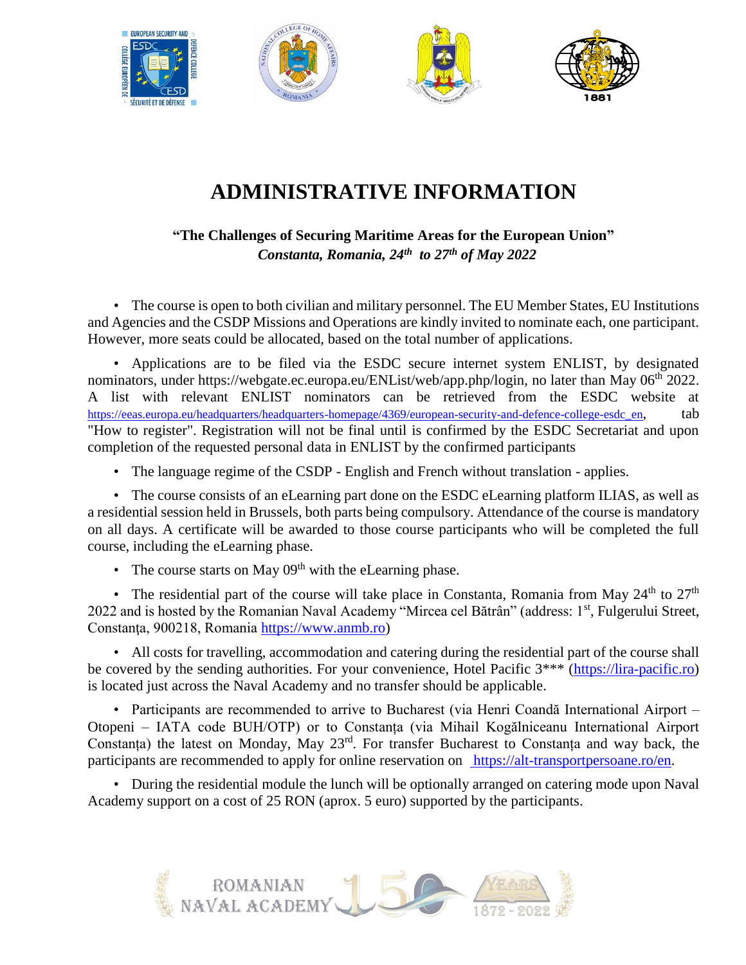

## **ADMINISTRATIVE INFORMATION**

**"The Challenges of Securing Maritime Areas for the European Union"**  *Constanta, Romania, 24th to 27th of May 2022*

• The course is open to both civilian and military personnel. The EU Member States, EU Institutions and Agencies and the CSDP Missions and Operations are kindly invited to nominate each, one participant. However, more seats could be allocated, based on the total number of applications.

• Applications are to be filed via the ESDC secure internet system ENLIST, by designated nominators, under https://webgate.ec.europa.eu/ENList/web/app.php/login, no later than May 06<sup>th</sup> 2022. A list with relevant ENLIST nominators can be retrieved from the ESDC website at [https://eeas.europa.eu/headquarters/headquarters-homepage/4369/european-security-and-defence-college-esdc\\_en](https://eeas.europa.eu/headquarters/headquarters-homepage/4369/european-security-and-defence-college-esdc_en), tab "How to register". Registration will not be final until is confirmed by the ESDC Secretariat and upon completion of the requested personal data in ENLIST by the confirmed participants

• The language regime of the CSDP - English and French without translation - applies.

• The course consists of an eLearning part done on the ESDC eLearning platform ILIAS, as well as a residential session held in Brussels, both parts being compulsory. Attendance of the course is mandatory on all days. A certificate will be awarded to those course participants who will be completed the full course, including the eLearning phase.

• The course starts on May  $0.9<sup>th</sup>$  with the eLearning phase.

• The residential part of the course will take place in Constanta, Romania from May  $24<sup>th</sup>$  to  $27<sup>th</sup>$ 2022 and is hosted by the Romanian Naval Academy "Mircea cel Bătrân" (address: 1st, Fulgerului Street, Constanţa, 900218, Romania [https://www.anmb.ro\)](https://www.anmb.ro/)

• All costs for travelling, accommodation and catering during the residential part of the course shall be covered by the sending authorities. For your convenience, Hotel Pacific  $3***$  [\(https://lira-pacific.ro\)](https://lira-pacific.ro/) is located just across the Naval Academy and no transfer should be applicable.

• Participants are recommended to arrive to Bucharest (via Henri Coandă International Airport – Otopeni – IATA code BUH/OTP) or to Constanța (via Mihail Kogălniceanu International Airport Constanța) the latest on Monday, May 23<sup>rd</sup>. For transfer Bucharest to Constanța and way back, the participants are recommended to apply for online reservation on [https://alt-transportpersoane.ro/en.](https://alt-transportpersoane.ro/en)

• During the residential module the lunch will be optionally arranged on catering mode upon Naval Academy support on a cost of 25 RON (aprox. 5 euro) supported by the participants.